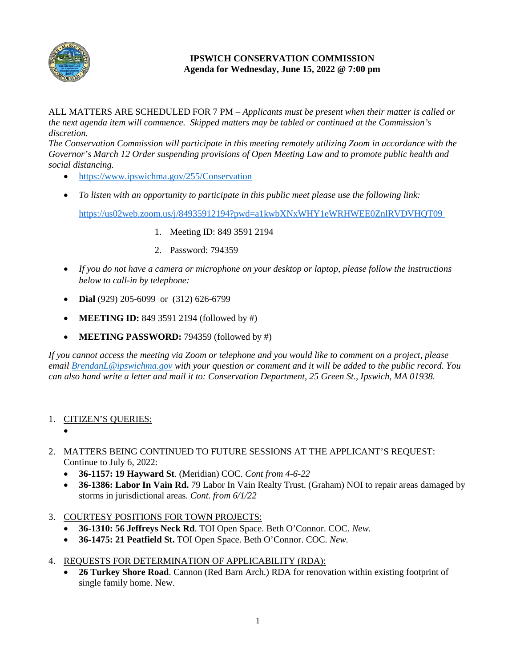

## **IPSWICH CONSERVATION COMMISSION Agenda for Wednesday, June 15, 2022 @ 7:00 pm**

ALL MATTERS ARE SCHEDULED FOR 7 PM – *Applicants must be present when their matter is called or the next agenda item will commence. Skipped matters may be tabled or continued at the Commission's discretion.*

*The Conservation Commission will participate in this meeting remotely utilizing Zoom in accordance with the Governor's March 12 Order suspending provisions of Open Meeting Law and to promote public health and social distancing.*

- <https://www.ipswichma.gov/255/Conservation>
- *To listen with an opportunity to participate in this public meet please use the following link:* <https://us02web.zoom.us/j/84935912194?pwd=a1kwbXNxWHY1eWRHWEE0ZnlRVDVHQT09>
	- 1. Meeting ID: 849 3591 2194
		- 2. Password: 794359
- *If you do not have a camera or microphone on your desktop or laptop, please follow the instructions below to call-in by telephone:*
- **Dial** (929) 205-6099 or (312) 626-6799
- **MEETING ID:** 849 3591 2194 (followed by #)
- **MEETING PASSWORD:** 794359 (followed by #)

*If you cannot access the meeting via Zoom or telephone and you would like to comment on a project, please email [BrendanL@ipswichma.gov](mailto:BrendanL@ipswichma.gov) with your question or comment and it will be added to the public record. You can also hand write a letter and mail it to: Conservation Department, 25 Green St., Ipswich, MA 01938.* 

- 1. CITIZEN'S QUERIES:
	- •
- 2. MATTERS BEING CONTINUED TO FUTURE SESSIONS AT THE APPLICANT'S REQUEST: Continue to July 6, 2022:
	- **36-1157: 19 Hayward St**. (Meridian) COC. *Cont from 4-6-22*
	- **36-1386: Labor In Vain Rd.** 79 Labor In Vain Realty Trust. (Graham) NOI to repair areas damaged by storms in jurisdictional areas*. Cont. from 6/1/22*
- 3. COURTESY POSITIONS FOR TOWN PROJECTS:
	- **36-1310: 56 Jeffreys Neck Rd**. TOI Open Space. Beth O'Connor. COC. *New.*
	- **36-1475: 21 Peatfield St.** TOI Open Space. Beth O'Connor. COC. *New.*
- 4. REQUESTS FOR DETERMINATION OF APPLICABILITY (RDA):
	- **26 Turkey Shore Road**. Cannon (Red Barn Arch.) RDA for renovation within existing footprint of single family home. New.